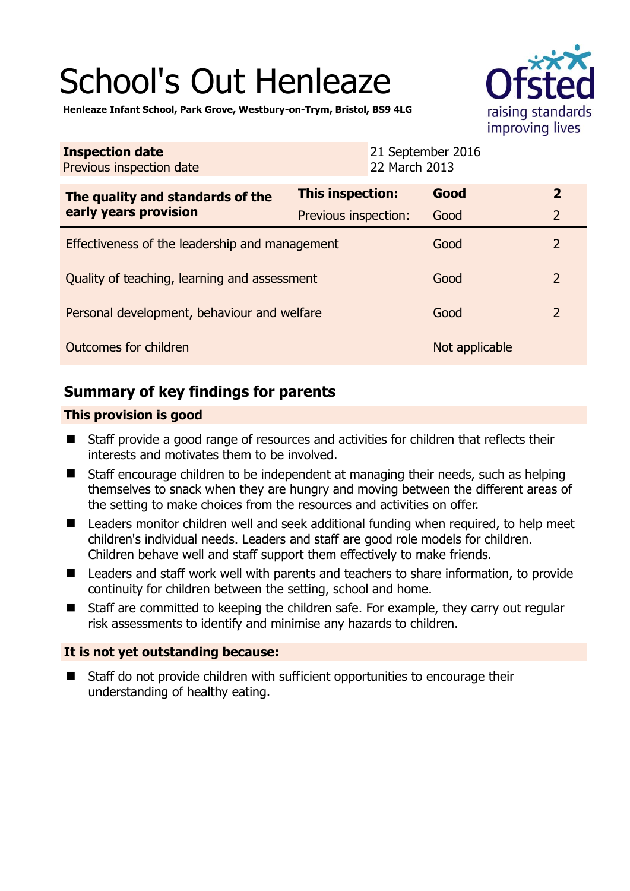# School's Out Henleaze



**Henleaze Infant School, Park Grove, Westbury-on-Trym, Bristol, BS9 4LG** 

| <b>Inspection date</b><br>Previous inspection date        |                         | 21 September 2016<br>22 March 2013 |                |                |
|-----------------------------------------------------------|-------------------------|------------------------------------|----------------|----------------|
| The quality and standards of the<br>early years provision | <b>This inspection:</b> |                                    | Good           | $\overline{2}$ |
|                                                           | Previous inspection:    |                                    | Good           | $\overline{2}$ |
| Effectiveness of the leadership and management            |                         |                                    | Good           | $\overline{2}$ |
| Quality of teaching, learning and assessment              |                         |                                    | Good           | $\overline{2}$ |
| Personal development, behaviour and welfare               |                         |                                    | Good           | $\overline{2}$ |
| Outcomes for children                                     |                         |                                    | Not applicable |                |

# **Summary of key findings for parents**

## **This provision is good**

- Staff provide a good range of resources and activities for children that reflects their interests and motivates them to be involved.
- Staff encourage children to be independent at managing their needs, such as helping themselves to snack when they are hungry and moving between the different areas of the setting to make choices from the resources and activities on offer.
- Leaders monitor children well and seek additional funding when required, to help meet children's individual needs. Leaders and staff are good role models for children. Children behave well and staff support them effectively to make friends.
- Leaders and staff work well with parents and teachers to share information, to provide continuity for children between the setting, school and home.
- Staff are committed to keeping the children safe. For example, they carry out regular risk assessments to identify and minimise any hazards to children.

## **It is not yet outstanding because:**

■ Staff do not provide children with sufficient opportunities to encourage their understanding of healthy eating.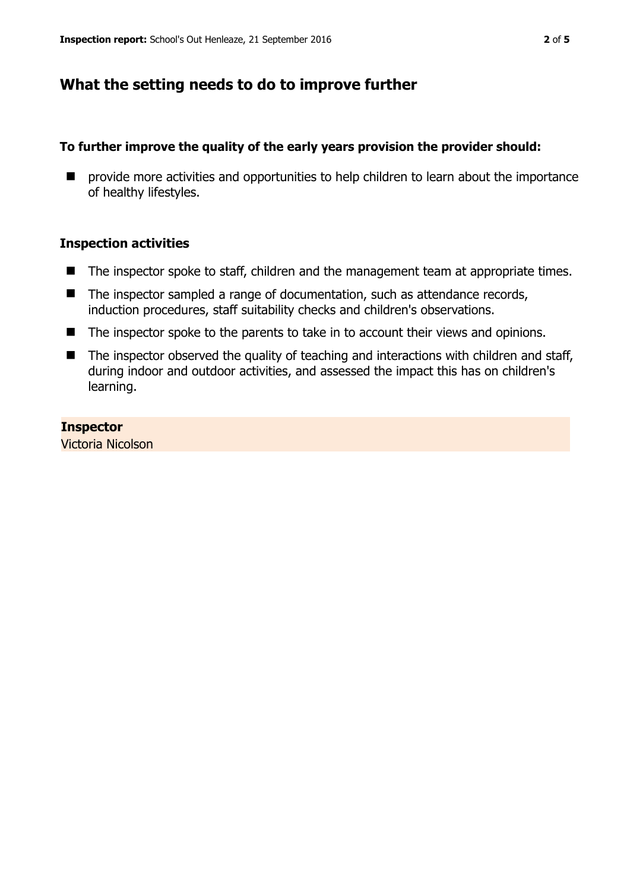## **What the setting needs to do to improve further**

## **To further improve the quality of the early years provision the provider should:**

**P** provide more activities and opportunities to help children to learn about the importance of healthy lifestyles.

#### **Inspection activities**

- The inspector spoke to staff, children and the management team at appropriate times.
- The inspector sampled a range of documentation, such as attendance records, induction procedures, staff suitability checks and children's observations.
- The inspector spoke to the parents to take in to account their views and opinions.
- The inspector observed the quality of teaching and interactions with children and staff, during indoor and outdoor activities, and assessed the impact this has on children's learning.

#### **Inspector**

Victoria Nicolson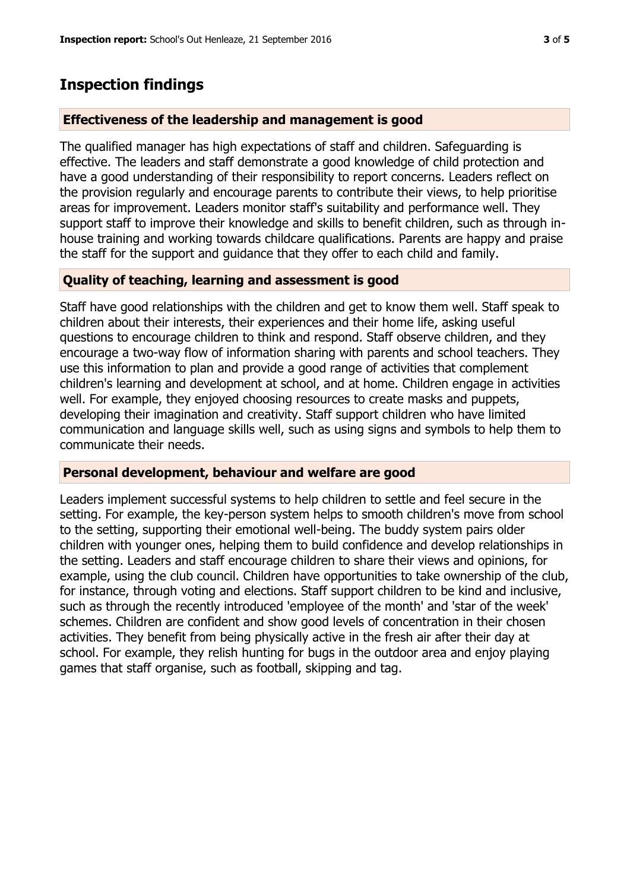## **Inspection findings**

#### **Effectiveness of the leadership and management is good**

The qualified manager has high expectations of staff and children. Safeguarding is effective. The leaders and staff demonstrate a good knowledge of child protection and have a good understanding of their responsibility to report concerns. Leaders reflect on the provision regularly and encourage parents to contribute their views, to help prioritise areas for improvement. Leaders monitor staff's suitability and performance well. They support staff to improve their knowledge and skills to benefit children, such as through inhouse training and working towards childcare qualifications. Parents are happy and praise the staff for the support and guidance that they offer to each child and family.

#### **Quality of teaching, learning and assessment is good**

Staff have good relationships with the children and get to know them well. Staff speak to children about their interests, their experiences and their home life, asking useful questions to encourage children to think and respond. Staff observe children, and they encourage a two-way flow of information sharing with parents and school teachers. They use this information to plan and provide a good range of activities that complement children's learning and development at school, and at home. Children engage in activities well. For example, they enjoyed choosing resources to create masks and puppets, developing their imagination and creativity. Staff support children who have limited communication and language skills well, such as using signs and symbols to help them to communicate their needs.

#### **Personal development, behaviour and welfare are good**

Leaders implement successful systems to help children to settle and feel secure in the setting. For example, the key-person system helps to smooth children's move from school to the setting, supporting their emotional well-being. The buddy system pairs older children with younger ones, helping them to build confidence and develop relationships in the setting. Leaders and staff encourage children to share their views and opinions, for example, using the club council. Children have opportunities to take ownership of the club, for instance, through voting and elections. Staff support children to be kind and inclusive, such as through the recently introduced 'employee of the month' and 'star of the week' schemes. Children are confident and show good levels of concentration in their chosen activities. They benefit from being physically active in the fresh air after their day at school. For example, they relish hunting for bugs in the outdoor area and enjoy playing games that staff organise, such as football, skipping and tag.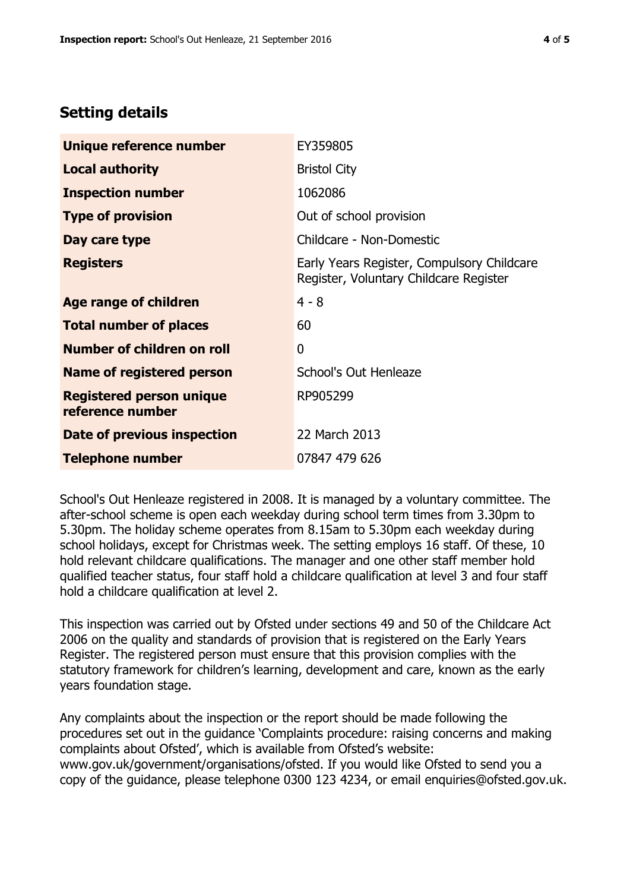# **Setting details**

| Unique reference number                             | EY359805                                                                             |  |
|-----------------------------------------------------|--------------------------------------------------------------------------------------|--|
| <b>Local authority</b>                              | <b>Bristol City</b>                                                                  |  |
| <b>Inspection number</b>                            | 1062086                                                                              |  |
| <b>Type of provision</b>                            | Out of school provision                                                              |  |
| Day care type                                       | Childcare - Non-Domestic                                                             |  |
| <b>Registers</b>                                    | Early Years Register, Compulsory Childcare<br>Register, Voluntary Childcare Register |  |
| Age range of children                               | $4 - 8$                                                                              |  |
| <b>Total number of places</b>                       | 60                                                                                   |  |
| Number of children on roll                          | 0                                                                                    |  |
| Name of registered person                           | School's Out Henleaze                                                                |  |
| <b>Registered person unique</b><br>reference number | RP905299                                                                             |  |
| Date of previous inspection                         | 22 March 2013                                                                        |  |
| <b>Telephone number</b>                             | 07847 479 626                                                                        |  |

School's Out Henleaze registered in 2008. It is managed by a voluntary committee. The after-school scheme is open each weekday during school term times from 3.30pm to 5.30pm. The holiday scheme operates from 8.15am to 5.30pm each weekday during school holidays, except for Christmas week. The setting employs 16 staff. Of these, 10 hold relevant childcare qualifications. The manager and one other staff member hold qualified teacher status, four staff hold a childcare qualification at level 3 and four staff hold a childcare qualification at level 2.

This inspection was carried out by Ofsted under sections 49 and 50 of the Childcare Act 2006 on the quality and standards of provision that is registered on the Early Years Register. The registered person must ensure that this provision complies with the statutory framework for children's learning, development and care, known as the early years foundation stage.

Any complaints about the inspection or the report should be made following the procedures set out in the guidance 'Complaints procedure: raising concerns and making complaints about Ofsted', which is available from Ofsted's website: www.gov.uk/government/organisations/ofsted. If you would like Ofsted to send you a copy of the guidance, please telephone 0300 123 4234, or email enquiries@ofsted.gov.uk.